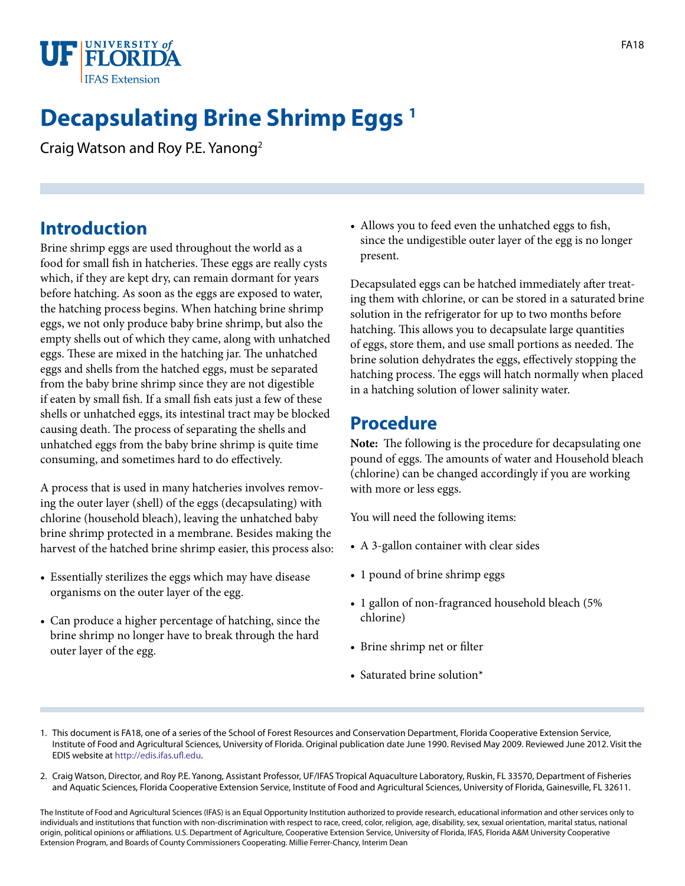

# **Decapsulating Brine Shrimp Eggs 1**

Craig Watson and Roy P.E. Yanong2

## **Introduction**

Brine shrimp eggs are used throughout the world as a food for small fish in hatcheries. These eggs are really cysts which, if they are kept dry, can remain dormant for years before hatching. As soon as the eggs are exposed to water, the hatching process begins. When hatching brine shrimp eggs, we not only produce baby brine shrimp, but also the empty shells out of which they came, along with unhatched eggs. These are mixed in the hatching jar. The unhatched eggs and shells from the hatched eggs, must be separated from the baby brine shrimp since they are not digestible if eaten by small fish. If a small fish eats just a few of these shells or unhatched eggs, its intestinal tract may be blocked causing death. The process of separating the shells and unhatched eggs from the baby brine shrimp is quite time consuming, and sometimes hard to do effectively.

A process that is used in many hatcheries involves removing the outer layer (shell) of the eggs (decapsulating) with chlorine (household bleach), leaving the unhatched baby brine shrimp protected in a membrane. Besides making the harvest of the hatched brine shrimp easier, this process also:

- Essentially sterilizes the eggs which may have disease organisms on the outer layer of the egg.
- Can produce a higher percentage of hatching, since the brine shrimp no longer have to break through the hard outer layer of the egg.

• Allows you to feed even the unhatched eggs to fish, since the undigestible outer layer of the egg is no longer present.

Decapsulated eggs can be hatched immediately after treating them with chlorine, or can be stored in a saturated brine solution in the refrigerator for up to two months before hatching. This allows you to decapsulate large quantities of eggs, store them, and use small portions as needed. The brine solution dehydrates the eggs, effectively stopping the hatching process. The eggs will hatch normally when placed in a hatching solution of lower salinity water.

### **Procedure**

**Note:** The following is the procedure for decapsulating one pound of eggs. The amounts of water and Household bleach (chlorine) can be changed accordingly if you are working with more or less eggs.

You will need the following items:

- A 3-gallon container with clear sides
- 1 pound of brine shrimp eggs
- 1 gallon of non-fragranced household bleach (5% chlorine)
- Brine shrimp net or filter
- Saturated brine solution\*
- 1. This document is FA18, one of a series of the School of Forest Resources and Conservation Department, Florida Cooperative Extension Service, Institute of Food and Agricultural Sciences, University of Florida. Original publication date June 1990. Revised May 2009. Reviewed June 2012. Visit the EDIS website at [http://edis.ifas.ufl.edu.](http://edis.ifas.ufl.edu)
- 2. Craig Watson, Director, and Roy P.E. Yanong, Assistant Professor, UF/IFAS Tropical Aquaculture Laboratory, Ruskin, FL 33570, Department of Fisheries and Aquatic Sciences, Florida Cooperative Extension Service, Institute of Food and Agricultural Sciences, University of Florida, Gainesville, FL 32611.

The Institute of Food and Agricultural Sciences (IFAS) is an Equal Opportunity Institution authorized to provide research, educational information and other services only to individuals and institutions that function with non-discrimination with respect to race, creed, color, religion, age, disability, sex, sexual orientation, marital status, national origin, political opinions or affiliations. U.S. Department of Agriculture, Cooperative Extension Service, University of Florida, IFAS, Florida A&M University Cooperative Extension Program, and Boards of County Commissioners Cooperating. Millie Ferrer-Chancy, Interim Dean